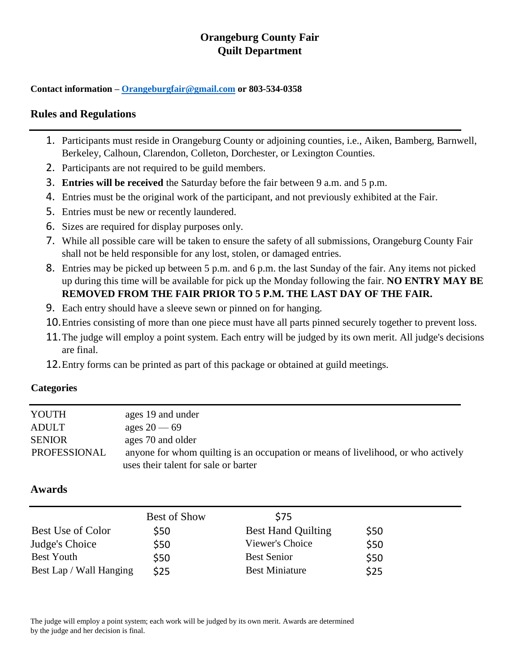# **Orangeburg County Fair Quilt Department**

**Contact information – [Orangeburgfair@gmail.com](mailto:Orangeburgfair@gmail.com) or 803-534-0358**

### **Rules and Regulations**

- 1. Participants must reside in Orangeburg County or adjoining counties, i.e., Aiken, Bamberg, Barnwell, Berkeley, Calhoun, Clarendon, Colleton, Dorchester, or Lexington Counties.
- 2. Participants are not required to be guild members.
- 3. **Entries will be received** the Saturday before the fair between 9 a.m. and 5 p.m.
- 4. Entries must be the original work of the participant, and not previously exhibited at the Fair.
- 5. Entries must be new or recently laundered.
- 6. Sizes are required for display purposes only.
- 7. While all possible care will be taken to ensure the safety of all submissions, Orangeburg County Fair shall not be held responsible for any lost, stolen, or damaged entries.
- 8. Entries may be picked up between 5 p.m. and 6 p.m. the last Sunday of the fair. Any items not picked up during this time will be available for pick up the Monday following the fair. **NO ENTRY MAY BE REMOVED FROM THE FAIR PRIOR TO 5 P.M. THE LAST DAY OF THE FAIR.**
- 9. Each entry should have a sleeve sewn or pinned on for hanging.
- 10.Entries consisting of more than one piece must have all parts pinned securely together to prevent loss.
- 11.The judge will employ a point system. Each entry will be judged by its own merit. All judge's decisions are final.
- 12.Entry forms can be printed as part of this package or obtained at guild meetings.

#### **Categories**

| YOUTH         | ages 19 and under                                                                 |
|---------------|-----------------------------------------------------------------------------------|
| <b>ADULT</b>  | ages $20 - 69$                                                                    |
| <b>SENIOR</b> | ages 70 and older                                                                 |
| PROFESSIONAL  | anyone for whom quilting is an occupation or means of livelihood, or who actively |
|               | uses their talent for sale or barter                                              |

## **Awards**

|                          | Best of Show | \$75                      |      |  |
|--------------------------|--------------|---------------------------|------|--|
| <b>Best Use of Color</b> | \$50         | <b>Best Hand Quilting</b> | \$50 |  |
| Judge's Choice           | \$50         | Viewer's Choice           | \$50 |  |
| <b>Best Youth</b>        | \$50         | <b>Best Senior</b>        | \$50 |  |
| Best Lap / Wall Hanging  | \$25         | <b>Best Miniature</b>     | \$25 |  |

The judge will employ a point system; each work will be judged by its own merit. Awards are determined by the judge and her decision is final.